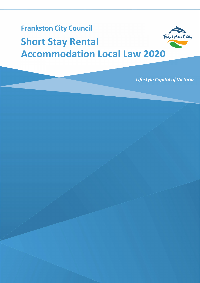# **Frankston City Council** Frankston City **Short Stay Rental Accommodation Local Law 2020**

**Lifestyle Capital of Victoria**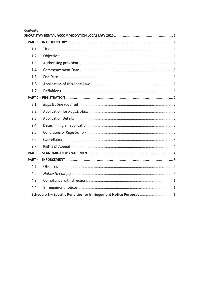| <b>Contents</b> |  |  |
|-----------------|--|--|
|                 |  |  |
|                 |  |  |
| 1.1             |  |  |
| 1.2             |  |  |
| 1.3             |  |  |
| 1.4             |  |  |
| 1.5             |  |  |
| 1.6             |  |  |
| 1.7             |  |  |
|                 |  |  |
| 2.1             |  |  |
| 2.2             |  |  |
| 2.3             |  |  |
| 2.4             |  |  |
| 2.5             |  |  |
| 2.6             |  |  |
| 2.7             |  |  |
|                 |  |  |
|                 |  |  |
| 4.1             |  |  |
| 4.2             |  |  |
| 4.3             |  |  |
| 4.4             |  |  |
|                 |  |  |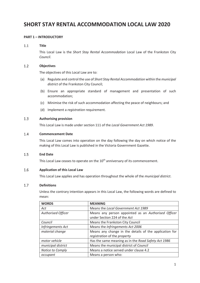## **SHORT STAY RENTAL ACCOMMODATION LOCAL LAW 2020**

### **PART 1 – INTRODUCTORY**

#### $1.1$ **Title**

This Local Law is the *Short Stay Rental Accommodation* Local Law of the Frankston City *Council*.

#### $1.2$ **Objectives**

The objectives of this Local Law are to:

- (a) Regulate and control the use of *Short Stay Rental Accommodation* within the *municipal district* of the Frankston City Council;
- (b) Ensure an appropriate standard of management and presentation of such accommodation;
- (c) Minimise the risk of such accommodation affecting the peace of neighbours; and
- (d) Implement a *registration* requirement.

#### $1.3$ **Authorising provision**

This Local Law is made under section 111 of the *Local Government Act 1989*.

#### $1.4$ **Commencement Date**

This Local Law comes into operation on the day following the day on which notice of the making of this Local Law is published in the Victoria Government Gazette.

#### $1.5$ **End Date**

This Local Law ceases to operate on the 10<sup>th</sup> anniversary of its commencement.

#### 1.6 **Application of this Local Law**

This Local Law applies and has operation throughout the whole of the *municipal district*.

#### $1.7$ **Definitions**

Unless the contrary intention appears in this Local Law, the following words are defined to mean:

| <b>WORDS</b>              | <b>MEANING</b>                                         |
|---------------------------|--------------------------------------------------------|
| Act                       | Means the Local Government Act 1989                    |
| <b>Authorised Officer</b> | Means any person appointed as an Authorised Officer    |
|                           | under Section 224 of the Act                           |
| Council                   | Means the Frankston City Council                       |
| Infringements Act         | Means the Infringements Act 2006                       |
| material change           | Means any change in the details of the application for |
|                           | registration of the property                           |
| motor vehicle             | Has the same meaning as in the Road Safety Act 1986    |
| municipal district        | Means the municipal district of Council                |
| Notice to Comply          | Means a notice served under clause 4.2                 |
| occupant                  | Means a person who:                                    |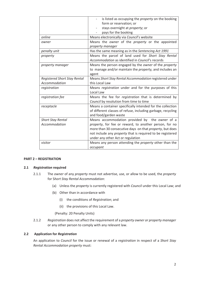|                                     | is listed as occupying the <i>property</i> on the booking<br>form or reservation; or<br>stays overnight at property; or<br>pays for the booking     |
|-------------------------------------|-----------------------------------------------------------------------------------------------------------------------------------------------------|
| online                              | Means electronically via Council's website                                                                                                          |
| owner                               | Means the owner of the property or the appointed<br>property manager                                                                                |
| penalty unit                        | Has the same meaning as in the Sentencing Act 1991                                                                                                  |
| property                            | Means the parcel of land used for Short Stay Rental<br>Accommodation as identified in Council's records                                             |
| property manager                    | Means the person engaged by the owner of the property<br>to manage and/or maintain the <i>property</i> , and includes an<br>agent                   |
| <b>Registered Short Stay Rental</b> | Means Short Stay Rental Accommodation registered under                                                                                              |
| Accommodation                       | this Local Law                                                                                                                                      |
| registration                        | Means registration under and for the purposes of this<br>Local Law                                                                                  |
| registration fee                    | Means the fee for registration that is determined by<br>Council by resolution from time to time                                                     |
| receptacle                          | Means a container specifically intended for the collection<br>of different classes of refuse, including garbage, recycling<br>and food/garden waste |
| <b>Short Stay Rental</b>            | Means accommodation provided by the owner of a                                                                                                      |
| Accommodation                       | property, for fee or reward, to another person, for no                                                                                              |
|                                     | more than 30 consecutive days on that property, but does                                                                                            |
|                                     | not include any property that is required to be registered<br>under any other Act or regulation                                                     |
| visitor                             | Means any person attending the property other than the<br>occupant                                                                                  |

#### **PART 2 – REGISTRATION**

### **2.1** *Registration* **required**

- 2.1.1 The *owner* of any *property* must not advertise, use, or allow to be used, the *property* for S*hort Stay Rental Accommodation*:
	- (a) Unless the *property* is currently registered with *Council* under this Local Law; and
	- (b) Other than in accordance with
		- (i) the conditions of *Registration*; and
		- (ii) the provisions of this Local Law.

(Penalty: 20 Penalty Units)

2.1.2 *Registration* does not affect the requirement of a *property owner or property manager* or any other person to comply with any relevant law.

### **2.2 Application for** *Registration*

An application to *Council* for the issue or renewal of a *registration* in respect of a *Short Stay Rental Accommodation property* must: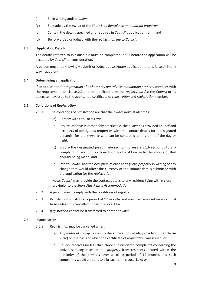- (a) Be in writing and/or *online;*
- (b) Be made by the *owner* of the *Short Stay Rental Accommodation property;*
- (c) Contain the details specified and required in *Council*'s application form; and
- (d) Be forwarded or lodged with the *registration fee* to *Council.*

### **2.3 Application Details**

The details referred to in clause 2.2 must be completed in full before the application will be accepted by *Council* for consideration.

A person must not knowingly submit or lodge a *registration* application that is false or in any way fraudulent.

### **2.4 Determining an application**

If an application for *registration* of a *Short Stay Rental Accommodation property* complies with the requirements of clause 2.2 and the applicant pays the *registration fee* the *Council* or its delegate may issue to the applicant a certificate of *registration* and *registration* number.

### **2.5 Conditions of** *Registration*

- 2.5.1 The conditions of *registration* are that the *owner* must at all times:
	- (a) Comply with this Local Law;
	- (b) Ensure, as far as is reasonably practicable, the *owner* has provided *Council* and occupiers of contiguous properties with the contact details for a designated person(s) for the *property* who can be contacted at any time of the day or night;
	- (c) Ensure the designated person referred to in clause 2.5.1.b responds to any complaint in relation to a breach of this Local Law within two hours of that enquiry being made; and
	- (d) Inform *Council* and the occupiers of each contiguous *property* in writing of any change that would affect the currency of the contact details submitted with the application for the *registration*.

Note: *Council* may provide the contact details to any resident living within close proximity to the *Short Stay Rental Accommodation*.

- 2.5.2 A person must comply with the conditions of registration.
- 2.5.3 *Registration* is valid for a period of 12 months and must be renewed on an annual basis unless it is cancelled under this Local Law.
- 2.5.4 *Registration* cannot be transferred to another *owner*.

#### **2.6 Cancellation**

- 2.6.1 *Registration* may be cancelled when:
	- (a) Any *material change* occurs to the application details, provided under clause 2.2(c) on the basis of which the certificate of *registration* was issued; or
	- (b) Council receives no less than three substantiated complaints concerning the activities taking place at the *property* from residents located within the proximity of the *property* over a rolling period of 12 months and such complaints would amount to a breach of this Local Law; or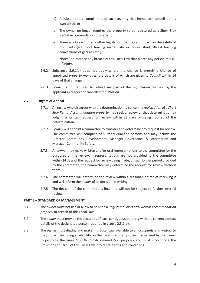- (c) A substantiated complaint is of such severity that immediate cancellation is warranted; or
- (d) The owner no longer requires the property to be registered as a Short Stay Rental Accommodation property; or
- (e) There is a breach of any other legislation that has an impact on the safety of occupants (e.g. pool fencing inadequate or non-existent, illegal building conversions of garages etc.).

Note: For instance any breach of this Local Law that places any person at risk of injury.

- 2.6.2 Subclause 2.6.1(a) does not apply where the change is merely a change of appointed *property manager*, the details of which are given to *Council* within 14 days of that change.
- 2.6.3 *Council* is not required to refund any part of the *registration fee* paid by the applicant in respect of cancelled *registration*.

### **2.7 Rights of Appeal**

- 2.7.1 An *owner* who disagrees with the determination to cancel the *registration* of a *Short Stay Rental Accommodation property* may seek a review of that determination by lodging a written request for review within 28 days of being notified of the determination*.*
- 2.7.2 *Council* will appoint a committee to consider and determine any request for review. The committee will comprise of suitably qualified persons and may include the Director Community Development, Manager Governance & Information and Manager Community Safety.
- 2.7.3 An *owner* may make written and/or oral representations to the committee for the purposes of the review. If representations are not provided to the committee within 14 days of the request for review being made, or such longer period provided by the committee, the committee may determine the request for review without them.
- 2.7.4 The committee will determine the review within a reasonable time of receiving it and will inform the *owner* of its decision in writing.
- 2.7.5 The decision of the committee is final and will not be subject to further internal review.

#### **PART 3 – STANDARD OF MANAGEMENT**

- 3.1 The *owner* must not use or allow to be used a *Registered Short Stay Rental Accommodation property* in breach of this Local Law.
- 3.2 The *owner* must provide the occupiers of each contiguous property with the current contact details of the designated person required in clause 2.5.1(b).
- 3.3 The *owner* must display and make this Local Law available to all *occupants* and *visitors* to the *property* including availability on their website or any social media used by the *owner* to promote the S*hort Stay Rental Accommodation property* and must incorporate the Provisions of Part 3 of this Local Law into rental terms and conditions.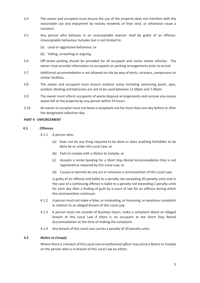- 3.4 The *owner* and *occupant* must ensure the use of the *property* does not interfere with the reasonable use and enjoyment by nearby residents of their land, or otherwise cause a nuisance.
- 3.5 Any person who behaves in an unacceptable manner shall be guilty of an offence. Unacceptable behaviour includes but is not limited to:
	- (a) Loud or aggressive behaviour; or
	- (b) Yelling, screaming or arguing.
- 3.6 Off-street parking should be provided for all *occupant* and *visitor* motor vehicles. The *owner* must provide information to *occupants* on parking arrangements prior to arrival.
- 3.7 Additional accommodation is not allowed on site by way of tents, caravans, campervans or similar facilities.
- 3.8 The *owner* and *occupant* must ensure outdoor areas including swimming pools, spas, outdoor decking and balconies are not to be used between 11.00pm and 7.00am.
- 3.9 The *owner* must inform *occupants* of waste disposal arrangements and remove any excess waste left at the *property* by any person within 24 hours.
- 3.10 An *owner* or *occupier* must not leave a *receptacle* out for more than one day before or after the designated collection day.

#### **PART 4 - ENFORCEMENT**

#### **4.1 Offences**

- 4.1.1 A person who:
	- (a) Does not do any thing required to be done or does anything forbidden to be done by or under this Local Law; or
	- (b) Fails to comply with a *Notice to Comply*; or
	- (c) Accepts a rental booking for a *Short Stay Rental Accommodation* that is not registered as required by this Local Law; or
	- (d) Causes or permits by any act or omission a contravention of this Local Law;

is guilty of an offence and liable to a penalty not exceeding 20 penalty units and in the case of a continuing offence is liable to a penalty not exceeding 2 penalty units for each day after a finding of guilt by a court of law for an offence during which the contravention continues.

- 4.1.2 A person must not make a false, or misleading, or harassing, or vexatious complaint in relation to an alleged breach of this Local Law.
- 4.1.3A person must not outside of business hours, make a complaint about an alleged breach of this Local Law if there is no occupant at the Short Stay Rental Accommodation at the time of making the complaint.
- 4.1.4 Any breach of this Local Law carries a penalty of 20 penalty units.

#### **4.2** *Notice to Comply*

Where there is a breach of this Local Law an *authorised officer* may serve a *Notice to Comply* on the person who is in breach of this Local Law by either;